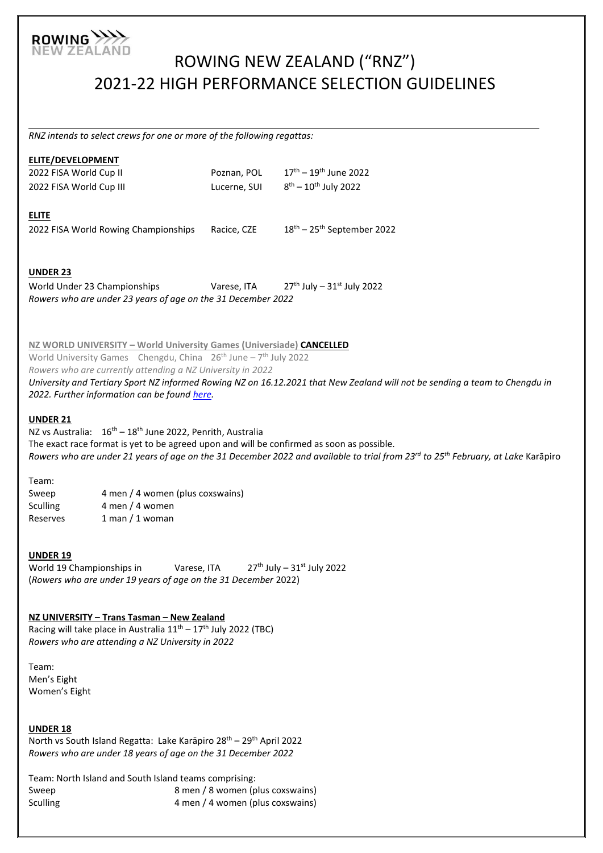

# ROWING NEW ZEALAND ("RNZ") 2021-22 HIGH PERFORMANCE SELECTION GUIDELINES

*RNZ intends to select crews for one or more of the following regattas:* 

|                                                                                                                                                                 | ELITE/DEVELOPMENT                                                                                                                                                                                                                                                                                                                                                                              |                             |                                                                                                                                                          |  |  |  |
|-----------------------------------------------------------------------------------------------------------------------------------------------------------------|------------------------------------------------------------------------------------------------------------------------------------------------------------------------------------------------------------------------------------------------------------------------------------------------------------------------------------------------------------------------------------------------|-----------------------------|----------------------------------------------------------------------------------------------------------------------------------------------------------|--|--|--|
|                                                                                                                                                                 | 2022 FISA World Cup II<br>2022 FISA World Cup III                                                                                                                                                                                                                                                                                                                                              | Poznan, POL<br>Lucerne, SUI | $17^{\text{th}} - 19^{\text{th}}$ June 2022<br>$8^{th} - 10^{th}$ July 2022                                                                              |  |  |  |
|                                                                                                                                                                 |                                                                                                                                                                                                                                                                                                                                                                                                |                             |                                                                                                                                                          |  |  |  |
|                                                                                                                                                                 | <b>ELITE</b><br>2022 FISA World Rowing Championships                                                                                                                                                                                                                                                                                                                                           | Racice, CZE                 | 18 <sup>th</sup> - 25 <sup>th</sup> September 2022                                                                                                       |  |  |  |
|                                                                                                                                                                 | <b>UNDER 23</b><br>World Under 23 Championships<br>Rowers who are under 23 years of age on the 31 December 2022                                                                                                                                                                                                                                                                                | Varese, ITA                 | $27^{th}$ July - $31^{st}$ July 2022                                                                                                                     |  |  |  |
|                                                                                                                                                                 | NZ WORLD UNIVERSITY - World University Games (Universiade) CANCELLED<br>World University Games Chengdu, China $26^{th}$ June - $7^{th}$ July 2022<br>Rowers who are currently attending a NZ University in 2022<br>University and Tertiary Sport NZ informed Rowing NZ on 16.12.2021 that New Zealand will not be sending a team to Chengdu in<br>2022. Further information can be found here. |                             |                                                                                                                                                          |  |  |  |
|                                                                                                                                                                 | <b>UNDER 21</b><br>NZ vs Australia: 16 <sup>th</sup> - 18 <sup>th</sup> June 2022, Penrith, Australia<br>The exact race format is yet to be agreed upon and will be confirmed as soon as possible.                                                                                                                                                                                             |                             | Rowers who are under 21 years of age on the 31 December 2022 and available to trial from 23 <sup>rd</sup> to 25 <sup>th</sup> February, at Lake Karāpiro |  |  |  |
|                                                                                                                                                                 | Team:<br>4 men / 4 women (plus coxswains)<br>Sweep<br>4 men / 4 women<br><b>Sculling</b><br>$1$ man $/1$ woman<br>Reserves                                                                                                                                                                                                                                                                     |                             |                                                                                                                                                          |  |  |  |
| <b>UNDER 19</b><br>World 19 Championships in<br>Varese, ITA<br>$27th$ July - $31st$ July 2022<br>(Rowers who are under 19 years of age on the 31 December 2022) |                                                                                                                                                                                                                                                                                                                                                                                                |                             |                                                                                                                                                          |  |  |  |
|                                                                                                                                                                 | NZ UNIVERSITY - Trans Tasman - New Zealand<br>Racing will take place in Australia 11 <sup>th</sup> - 17 <sup>th</sup> July 2022 (TBC)<br>Rowers who are attending a NZ University in 2022                                                                                                                                                                                                      |                             |                                                                                                                                                          |  |  |  |
|                                                                                                                                                                 | Team:<br>Men's Eight<br>Women's Eight                                                                                                                                                                                                                                                                                                                                                          |                             |                                                                                                                                                          |  |  |  |
|                                                                                                                                                                 | <b>UNDER 18</b><br>North vs South Island Regatta: Lake Karāpiro 28 <sup>th</sup> - 29 <sup>th</sup> April 2022<br>Rowers who are under 18 years of age on the 31 December 2022                                                                                                                                                                                                                 |                             |                                                                                                                                                          |  |  |  |
|                                                                                                                                                                 | Team: North Island and South Island teams comprising:                                                                                                                                                                                                                                                                                                                                          |                             |                                                                                                                                                          |  |  |  |

Sweep 3 men / 8 women (plus coxswains) Sculling  $\sim$  4 men / 4 women (plus coxswains)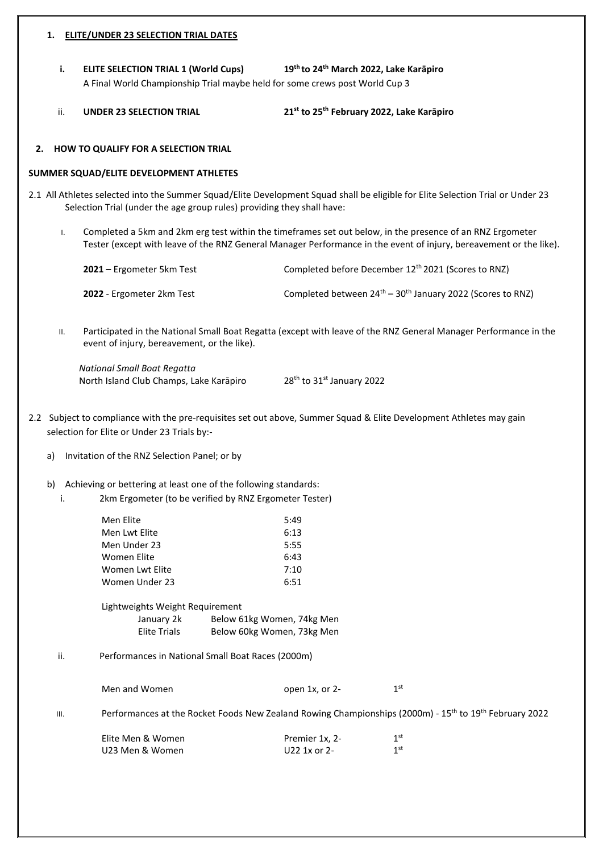#### **1. ELITE/UNDER 23 SELECTION TRIAL DATES**

**i. ELITE SELECTION TRIAL 1 (World Cups) th March 2022, Lake Karāpiro** A Final World Championship Trial maybe held for some crews post World Cup 3

ii. **UNDER 23 SELECTION TRIAL 21 st to 25th February 2022, Lake Karāpiro**

## **2. HOW TO QUALIFY FOR A SELECTION TRIAL**

#### **SUMMER SQUAD/ELITE DEVELOPMENT ATHLETES**

- 2.1 All Athletes selected into the Summer Squad/Elite Development Squad shall be eligible for Elite Selection Trial or Under 23 Selection Trial (under the age group rules) providing they shall have:
	- I. Completed a 5km and 2km erg test within the timeframes set out below, in the presence of an RNZ Ergometer Tester (except with leave of the RNZ General Manager Performance in the event of injury, bereavement or the like).

| 2021 – Ergometer 5km Test | Completed before December 12 <sup>th</sup> 2021 (Scores to RNZ)    |
|---------------------------|--------------------------------------------------------------------|
| 2022 - Ergometer 2km Test | Completed between $24^{th} - 30^{th}$ January 2022 (Scores to RNZ) |

II. Participated in the National Small Boat Regatta (except with leave of the RNZ General Manager Performance in the event of injury, bereavement, or the like).

*National Small Boat Regatta* North Island Club Champs, Lake Karāpiro 28<sup>th</sup> to 31<sup>st</sup> January 2022

- 2.2 Subject to compliance with the pre-requisites set out above, Summer Squad & Elite Development Athletes may gain selection for Elite or Under 23 Trials by:
	- a) Invitation of the RNZ Selection Panel; or by
	- b) Achieving or bettering at least one of the following standards:
		- i. 2km Ergometer (to be verified by RNZ Ergometer Tester)

U23 Men & Women U22 1x or 2-

|      | Men Elite                                         | 5:49                                                                                                                           |                 |  |
|------|---------------------------------------------------|--------------------------------------------------------------------------------------------------------------------------------|-----------------|--|
|      | Men Lwt Elite                                     | 6:13                                                                                                                           |                 |  |
|      | Men Under 23                                      | 5:55                                                                                                                           |                 |  |
|      | Women Elite                                       | 6:43                                                                                                                           |                 |  |
|      | Women Lwt Elite                                   | 7:10                                                                                                                           |                 |  |
|      | Women Under 23                                    | 6:51                                                                                                                           |                 |  |
|      | Lightweights Weight Requirement                   |                                                                                                                                |                 |  |
|      | January 2k                                        | Below 61kg Women, 74kg Men                                                                                                     |                 |  |
|      | Elite Trials                                      | Below 60kg Women, 73kg Men                                                                                                     |                 |  |
| ii.  | Performances in National Small Boat Races (2000m) |                                                                                                                                |                 |  |
|      | Men and Women                                     | open 1x, or 2-                                                                                                                 | 1 <sup>st</sup> |  |
| III. |                                                   | Performances at the Rocket Foods New Zealand Rowing Championships (2000m) - 15 <sup>th</sup> to 19 <sup>th</sup> February 2022 |                 |  |
|      | Elite Men & Women                                 | Premier 1x, 2-                                                                                                                 | 1 <sup>st</sup> |  |

1<sup>st</sup>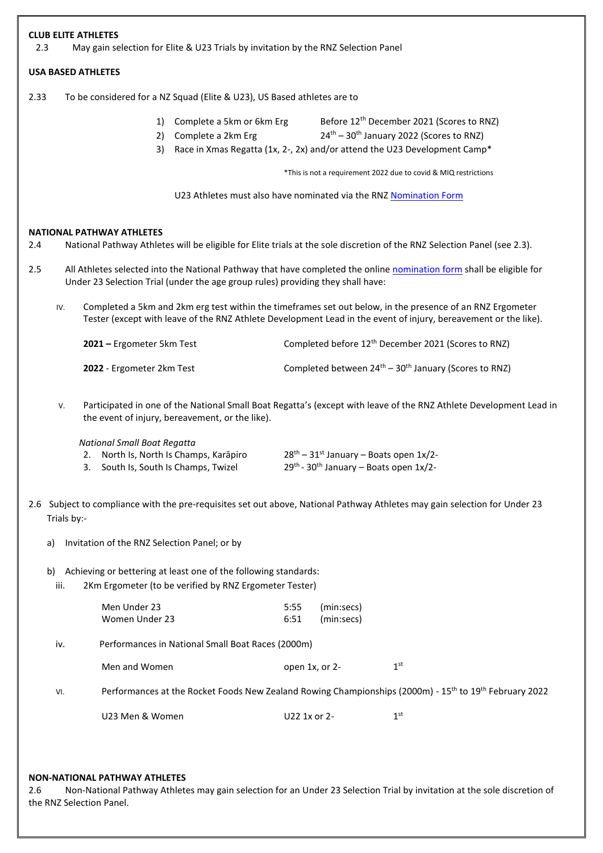| <b>CLUB ELITE ATHLETES</b><br>2.3                                                                                                       | May gain selection for Elite & U23 Trials by invitation by the RNZ Selection Panel                                                                                                                                           |                                                                                       |                                                                                                                                                                                                                                                  |  |  |  |
|-----------------------------------------------------------------------------------------------------------------------------------------|------------------------------------------------------------------------------------------------------------------------------------------------------------------------------------------------------------------------------|---------------------------------------------------------------------------------------|--------------------------------------------------------------------------------------------------------------------------------------------------------------------------------------------------------------------------------------------------|--|--|--|
| <b>USA BASED ATHLETES</b>                                                                                                               |                                                                                                                                                                                                                              |                                                                                       |                                                                                                                                                                                                                                                  |  |  |  |
| 2.33                                                                                                                                    | To be considered for a NZ Squad (Elite & U23), US Based athletes are to                                                                                                                                                      |                                                                                       |                                                                                                                                                                                                                                                  |  |  |  |
|                                                                                                                                         | Complete a 5km or 6km Erg<br>1)<br>Complete a 2km Erg<br>2)<br>3)                                                                                                                                                            | Race in Xmas Regatta (1x, 2-, 2x) and/or attend the U23 Development Camp*             | Before 12 <sup>th</sup> December 2021 (Scores to RNZ)<br>24 <sup>th</sup> - 30 <sup>th</sup> January 2022 (Scores to RNZ)                                                                                                                        |  |  |  |
|                                                                                                                                         |                                                                                                                                                                                                                              |                                                                                       | *This is not a requirement 2022 due to covid & MIQ restrictions                                                                                                                                                                                  |  |  |  |
|                                                                                                                                         | U23 Athletes must also have nominated via the RNZ Nomination Form                                                                                                                                                            |                                                                                       |                                                                                                                                                                                                                                                  |  |  |  |
| NATIONAL PATHWAY ATHLETES<br>2.4<br>2.5                                                                                                 |                                                                                                                                                                                                                              |                                                                                       | National Pathway Athletes will be eligible for Elite trials at the sole discretion of the RNZ Selection Panel (see 2.3).<br>All Athletes selected into the National Pathway that have completed the online nomination form shall be eligible for |  |  |  |
|                                                                                                                                         | Under 23 Selection Trial (under the age group rules) providing they shall have:                                                                                                                                              |                                                                                       |                                                                                                                                                                                                                                                  |  |  |  |
| IV.                                                                                                                                     | Completed a 5km and 2km erg test within the timeframes set out below, in the presence of an RNZ Ergometer<br>Tester (except with leave of the RNZ Athlete Development Lead in the event of injury, bereavement or the like). |                                                                                       |                                                                                                                                                                                                                                                  |  |  |  |
|                                                                                                                                         | 2021 - Ergometer 5km Test                                                                                                                                                                                                    |                                                                                       | Completed before 12 <sup>th</sup> December 2021 (Scores to RNZ)                                                                                                                                                                                  |  |  |  |
|                                                                                                                                         | 2022 - Ergometer 2km Test                                                                                                                                                                                                    |                                                                                       | Completed between 24 <sup>th</sup> – 30 <sup>th</sup> January (Scores to RNZ)                                                                                                                                                                    |  |  |  |
| V.                                                                                                                                      | the event of injury, bereavement, or the like).                                                                                                                                                                              |                                                                                       | Participated in one of the National Small Boat Regatta's (except with leave of the RNZ Athlete Development Lead in                                                                                                                               |  |  |  |
| National Small Boat Regatta                                                                                                             | 2. North Is, North Is Champs, Karāpiro<br>3. South Is, South Is Champs, Twizel                                                                                                                                               | $28th - 31st$ January – Boats open $1x/2$ -<br>29th - 30th January - Boats open 1x/2- |                                                                                                                                                                                                                                                  |  |  |  |
| Trials by:-                                                                                                                             |                                                                                                                                                                                                                              |                                                                                       | 2.6 Subject to compliance with the pre-requisites set out above, National Pathway Athletes may gain selection for Under 23                                                                                                                       |  |  |  |
| a)                                                                                                                                      | Invitation of the RNZ Selection Panel; or by                                                                                                                                                                                 |                                                                                       |                                                                                                                                                                                                                                                  |  |  |  |
| Achieving or bettering at least one of the following standards:<br>b)<br>2Km Ergometer (to be verified by RNZ Ergometer Tester)<br>iii. |                                                                                                                                                                                                                              |                                                                                       |                                                                                                                                                                                                                                                  |  |  |  |
| Men Under 23<br>Women Under 23                                                                                                          |                                                                                                                                                                                                                              | 5:55<br>(min:secs)<br>6:51<br>(min:secs)                                              |                                                                                                                                                                                                                                                  |  |  |  |
| iv.                                                                                                                                     | Performances in National Small Boat Races (2000m)                                                                                                                                                                            |                                                                                       |                                                                                                                                                                                                                                                  |  |  |  |
| Men and Women                                                                                                                           |                                                                                                                                                                                                                              | open 1x, or 2-                                                                        | 1 <sup>st</sup>                                                                                                                                                                                                                                  |  |  |  |
| VI.                                                                                                                                     |                                                                                                                                                                                                                              |                                                                                       | Performances at the Rocket Foods New Zealand Rowing Championships (2000m) - 15 <sup>th</sup> to 19 <sup>th</sup> February 2022                                                                                                                   |  |  |  |
|                                                                                                                                         | U23 Men & Women                                                                                                                                                                                                              | U22 1x or 2-                                                                          | 1 <sup>st</sup>                                                                                                                                                                                                                                  |  |  |  |

## **NON-NATIONAL PATHWAY ATHLETES**

2.6 Non-National Pathway Athletes may gain selection for an Under 23 Selection Trial by invitation at the sole discretion of the RNZ Selection Panel.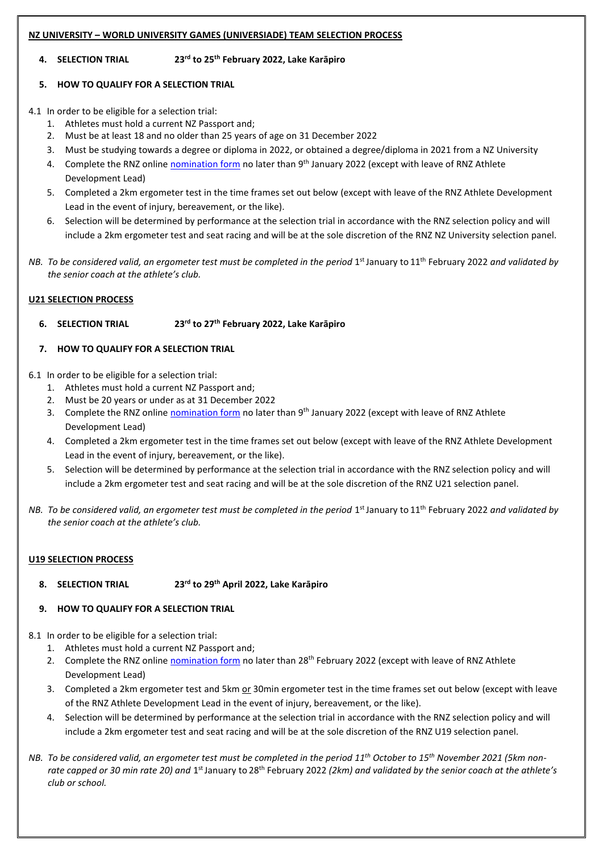## **NZ UNIVERSITY – WORLD UNIVERSITY GAMES (UNIVERSIADE) TEAM SELECTION PROCESS**

## **4. SELECTION TRIAL 23rd to 25th February 2022, Lake Karāpiro**

## **5. HOW TO QUALIFY FOR A SELECTION TRIAL**

4.1 In order to be eligible for a selection trial:

- 1. Athletes must hold a current NZ Passport and;
- 2. Must be at least 18 and no older than 25 years of age on 31 December 2022
- 3. Must be studying towards a degree or diploma in 2022, or obtained a degree/diploma in 2021 from a NZ University
- 4. Complete the RNZ online *nomination form* no later than 9<sup>th</sup> January 2022 (except with leave of RNZ Athlete Development Lead)
- 5. Completed a 2km ergometer test in the time frames set out below (except with leave of the RNZ Athlete Development Lead in the event of injury, bereavement, or the like).
- 6. Selection will be determined by performance at the selection trial in accordance with the RNZ selection policy and will include a 2km ergometer test and seat racing and will be at the sole discretion of the RNZ NZ University selection panel.
- NB. To be considered valid, an ergometer test must be completed in the period 1<sup>st</sup> January to 11<sup>th</sup> February 2022 and validated by *the senior coach at the athlete's club.*

#### **U21 SELECTION PROCESS**

**6. SELECTION TRIAL 23rd to 27th February 2022, Lake Karāpiro**

## **7. HOW TO QUALIFY FOR A SELECTION TRIAL**

- 6.1 In order to be eligible for a selection trial:
	- 1. Athletes must hold a current NZ Passport and;
	- 2. Must be 20 years or under as at 31 December 2022
	- 3. Complete the RNZ online [nomination form](https://www.surveymonkey.com/r/9YQQ5R2) no later than 9<sup>th</sup> January 2022 (except with leave of RNZ Athlete Development Lead)
	- 4. Completed a 2km ergometer test in the time frames set out below (except with leave of the RNZ Athlete Development Lead in the event of injury, bereavement, or the like).
	- 5. Selection will be determined by performance at the selection trial in accordance with the RNZ selection policy and will include a 2km ergometer test and seat racing and will be at the sole discretion of the RNZ U21 selection panel.
- NB. To be considered valid, an ergometer test must be completed in the period 1<sup>st</sup> January to 11<sup>th</sup> February 2022 and validated by *the senior coach at the athlete's club.*

## **U19 SELECTION PROCESS**

**8. SELECTION TRIAL 23rd to 29th April 2022, Lake Karāpiro**

## **9. HOW TO QUALIFY FOR A SELECTION TRIAL**

8.1 In order to be eligible for a selection trial:

- 1. Athletes must hold a current NZ Passport and;
- 2. Complete the RNZ online [nomination form](https://www.surveymonkey.com/r/F326273) no later than 28<sup>th</sup> February 2022 (except with leave of RNZ Athlete Development Lead)
- 3. Completed a 2km ergometer test and 5km or 30min ergometer test in the time frames set out below (except with leave of the RNZ Athlete Development Lead in the event of injury, bereavement, or the like).
- 4. Selection will be determined by performance at the selection trial in accordance with the RNZ selection policy and will include a 2km ergometer test and seat racing and will be at the sole discretion of the RNZ U19 selection panel.
- *NB. To be considered valid, an ergometer test must be completed in the period 11th October to 15th November 2021 (5km non*rate capped or 30 min rate 20) and 1<sup>st</sup> January to 28<sup>th</sup> February 2022 *(2km) and validated by the senior coach at the athlete's club or school.*